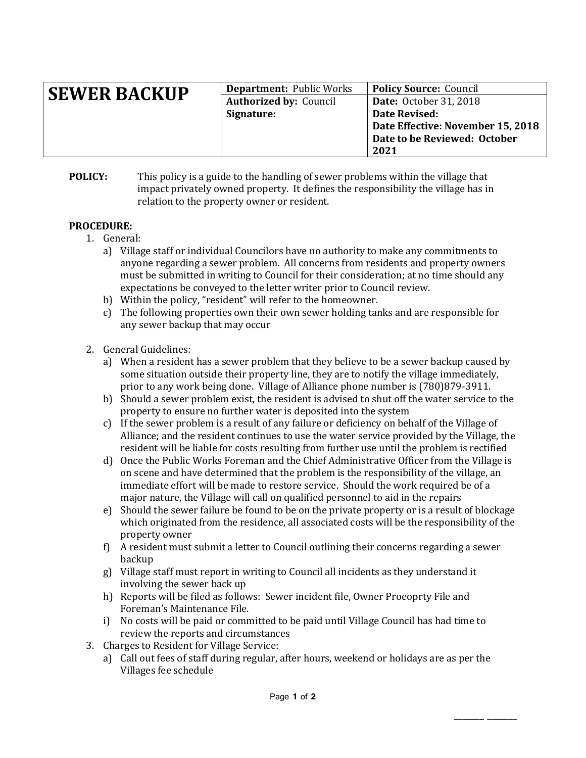| <b>SEWER BACKUP</b> | <b>Department: Public Works</b> | <b>Policy Source: Council</b>     |
|---------------------|---------------------------------|-----------------------------------|
|                     | <b>Authorized by: Council</b>   | <b>Date:</b> October 31, 2018     |
|                     | Signature:                      | Date Revised:                     |
|                     |                                 | Date Effective: November 15, 2018 |
|                     |                                 | Date to be Reviewed: October      |
|                     |                                 | 2021                              |

**POLICY:** This policy is a guide to the handling of sewer problems within the village that impact privately owned property. It defines the responsibility the village has in relation to the property owner or resident.

## **PROCEDURE:**

- 1. General:
	- a) Village staff or individual Councilors have no authority to make any commitments to anyone regarding a sewer problem. All concerns from residents and property owners must be submitted in writing to Council for their consideration; at no time should any expectations be conveyed to the letter writer prior to Council review.
	- b) Within the policy, "resident" will refer to the homeowner.
	- c) The following properties own their own sewer holding tanks and are responsible for any sewer backup that may occur
- 2. General Guidelines:
	- a) When a resident has a sewer problem that they believe to be a sewer backup caused by some situation outside their property line, they are to notify the village immediately, prior to any work being done. Village of Alliance phone number is (780)879-3911.
	- b) Should a sewer problem exist, the resident is advised to shut off the water service to the property to ensure no further water is deposited into the system
	- c) If the sewer problem is a result of any failure or deficiency on behalf of the Village of Alliance; and the resident continues to use the water service provided by the Village, the resident will be liable for costs resulting from further use until the problem is rectified
	- d) Once the Public Works Foreman and the Chief Administrative Officer from the Village is on scene and have determined that the problem is the responsibility of the village, an immediate effort will be made to restore service. Should the work required be of a major nature, the Village will call on qualified personnel to aid in the repairs
	- e) Should the sewer failure be found to be on the private property or is a result of blockage which originated from the residence, all associated costs will be the responsibility of the property owner
	- f) A resident must submit a letter to Council outlining their concerns regarding a sewer backup
	- g) Village staff must report in writing to Council all incidents as they understand it involving the sewer back up
	- h) Reports will be filed as follows: Sewer incident file, Owner Proeoprty File and Foreman's Maintenance File.
	- i) No costs will be paid or committed to be paid until Village Council has had time to review the reports and circumstances
- 3. Charges to Resident for Village Service:
	- a) Call out fees of staff during regular, after hours, weekend or holidays are as per the Villages fee schedule

\_\_\_\_\_\_\_ \_\_\_\_\_\_\_